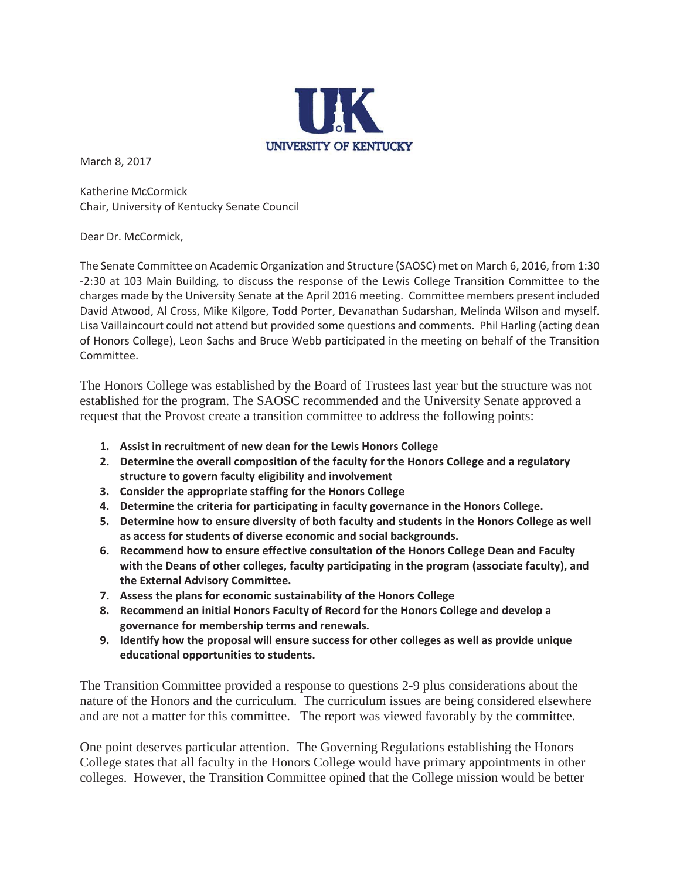

March 8, 2017

Katherine McCormick Chair, University of Kentucky Senate Council

Dear Dr. McCormick,

The Senate Committee on Academic Organization and Structure (SAOSC) met on March 6, 2016, from 1:30 -2:30 at 103 Main Building, to discuss the response of the Lewis College Transition Committee to the charges made by the University Senate at the April 2016 meeting. Committee members present included David Atwood, Al Cross, Mike Kilgore, Todd Porter, Devanathan Sudarshan, Melinda Wilson and myself. Lisa Vaillaincourt could not attend but provided some questions and comments. Phil Harling (acting dean of Honors College), Leon Sachs and Bruce Webb participated in the meeting on behalf of the Transition Committee.

The Honors College was established by the Board of Trustees last year but the structure was not established for the program. The SAOSC recommended and the University Senate approved a request that the Provost create a transition committee to address the following points:

- **1. Assist in recruitment of new dean for the Lewis Honors College**
- **2. Determine the overall composition of the faculty for the Honors College and a regulatory structure to govern faculty eligibility and involvement**
- **3. Consider the appropriate staffing for the Honors College**
- **4. Determine the criteria for participating in faculty governance in the Honors College.**
- **5. Determine how to ensure diversity of both faculty and students in the Honors College as well as access for students of diverse economic and social backgrounds.**
- **6. Recommend how to ensure effective consultation of the Honors College Dean and Faculty with the Deans of other colleges, faculty participating in the program (associate faculty), and the External Advisory Committee.**
- **7. Assess the plans for economic sustainability of the Honors College**
- **8. Recommend an initial Honors Faculty of Record for the Honors College and develop a governance for membership terms and renewals.**
- **9. Identify how the proposal will ensure success for other colleges as well as provide unique educational opportunities to students.**

The Transition Committee provided a response to questions 2-9 plus considerations about the nature of the Honors and the curriculum. The curriculum issues are being considered elsewhere and are not a matter for this committee. The report was viewed favorably by the committee.

One point deserves particular attention. The Governing Regulations establishing the Honors College states that all faculty in the Honors College would have primary appointments in other colleges. However, the Transition Committee opined that the College mission would be better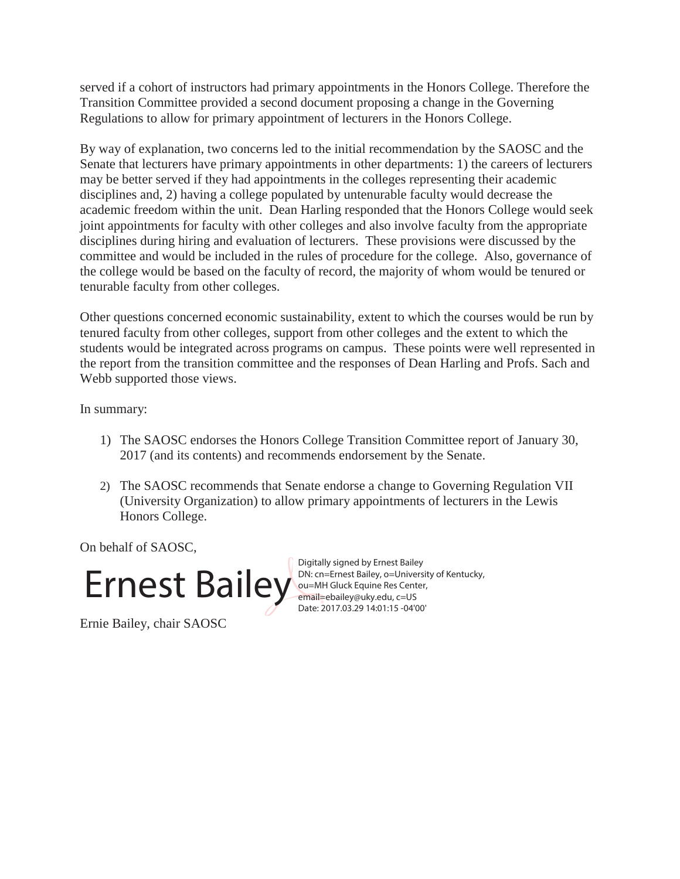served if a cohort of instructors had primary appointments in the Honors College. Therefore the Transition Committee provided a second document proposing a change in the Governing Regulations to allow for primary appointment of lecturers in the Honors College.

By way of explanation, two concerns led to the initial recommendation by the SAOSC and the Senate that lecturers have primary appointments in other departments: 1) the careers of lecturers may be better served if they had appointments in the colleges representing their academic disciplines and, 2) having a college populated by untenurable faculty would decrease the academic freedom within the unit. Dean Harling responded that the Honors College would seek joint appointments for faculty with other colleges and also involve faculty from the appropriate disciplines during hiring and evaluation of lecturers. These provisions were discussed by the committee and would be included in the rules of procedure for the college. Also, governance of the college would be based on the faculty of record, the majority of whom would be tenured or tenurable faculty from other colleges.

Other questions concerned economic sustainability, extent to which the courses would be run by tenured faculty from other colleges, support from other colleges and the extent to which the students would be integrated across programs on campus. These points were well represented in the report from the transition committee and the responses of Dean Harling and Profs. Sach and Webb supported those views.

In summary:

- 1) The SAOSC endorses the Honors College Transition Committee report of January 30, 2017 (and its contents) and recommends endorsement by the Senate.
- 2) The SAOSC recommends that Senate endorse a change to Governing Regulation VII (University Organization) to allow primary appointments of lecturers in the Lewis Honors College.

On behalf of SAOSC,



Digitally signed by Ernest Bailey DN: cn=Ernest Bailey, o=University of Kentucky, ou=MH Gluck Equine Res Center, email=ebailey@uky.edu, c=US Date: 2017.03.29 14:01:15 -04'00'

Ernie Bailey, chair SAOSC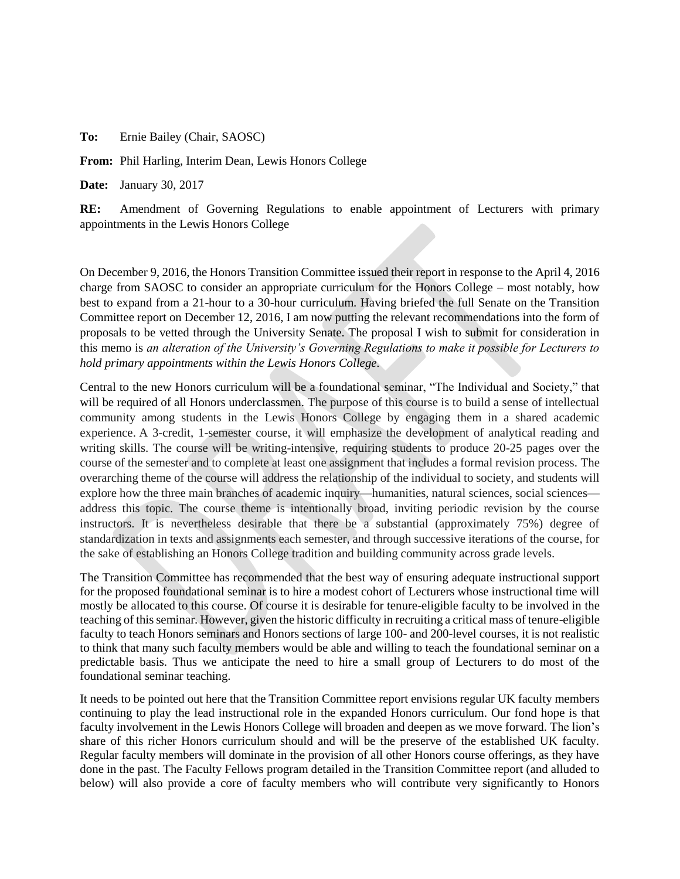**To:** Ernie Bailey (Chair, SAOSC)

**From:** Phil Harling, Interim Dean, Lewis Honors College

**Date:** January 30, 2017

**RE:** Amendment of Governing Regulations to enable appointment of Lecturers with primary appointments in the Lewis Honors College

On December 9, 2016, the Honors Transition Committee issued their report in response to the April 4, 2016 charge from SAOSC to consider an appropriate curriculum for the Honors College – most notably, how best to expand from a 21-hour to a 30-hour curriculum. Having briefed the full Senate on the Transition Committee report on December 12, 2016, I am now putting the relevant recommendations into the form of proposals to be vetted through the University Senate. The proposal I wish to submit for consideration in this memo is *an alteration of the University's Governing Regulations to make it possible for Lecturers to hold primary appointments within the Lewis Honors College.*

Central to the new Honors curriculum will be a foundational seminar, "The Individual and Society," that will be required of all Honors underclassmen. The purpose of this course is to build a sense of intellectual community among students in the Lewis Honors College by engaging them in a shared academic experience. A 3-credit, 1-semester course, it will emphasize the development of analytical reading and writing skills. The course will be writing-intensive, requiring students to produce 20-25 pages over the course of the semester and to complete at least one assignment that includes a formal revision process. The overarching theme of the course will address the relationship of the individual to society, and students will explore how the three main branches of academic inquiry—humanities, natural sciences, social sciences address this topic. The course theme is intentionally broad, inviting periodic revision by the course instructors. It is nevertheless desirable that there be a substantial (approximately 75%) degree of standardization in texts and assignments each semester, and through successive iterations of the course, for the sake of establishing an Honors College tradition and building community across grade levels.

The Transition Committee has recommended that the best way of ensuring adequate instructional support for the proposed foundational seminar is to hire a modest cohort of Lecturers whose instructional time will mostly be allocated to this course. Of course it is desirable for tenure-eligible faculty to be involved in the teaching of this seminar. However, given the historic difficulty in recruiting a critical mass of tenure-eligible faculty to teach Honors seminars and Honors sections of large 100- and 200-level courses, it is not realistic to think that many such faculty members would be able and willing to teach the foundational seminar on a predictable basis. Thus we anticipate the need to hire a small group of Lecturers to do most of the foundational seminar teaching.

It needs to be pointed out here that the Transition Committee report envisions regular UK faculty members continuing to play the lead instructional role in the expanded Honors curriculum. Our fond hope is that faculty involvement in the Lewis Honors College will broaden and deepen as we move forward. The lion's share of this richer Honors curriculum should and will be the preserve of the established UK faculty. Regular faculty members will dominate in the provision of all other Honors course offerings, as they have done in the past. The Faculty Fellows program detailed in the Transition Committee report (and alluded to below) will also provide a core of faculty members who will contribute very significantly to Honors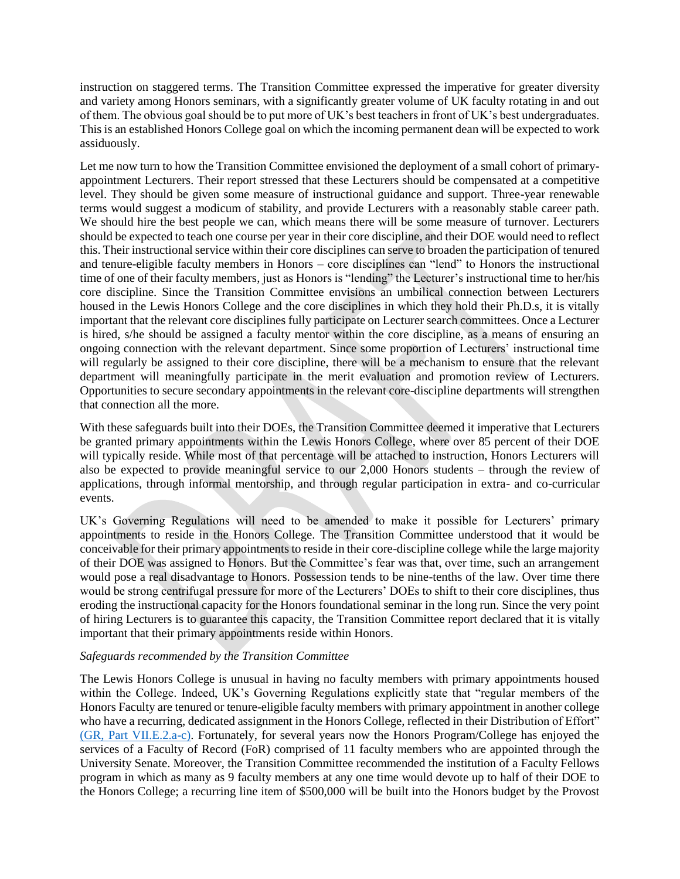instruction on staggered terms. The Transition Committee expressed the imperative for greater diversity and variety among Honors seminars, with a significantly greater volume of UK faculty rotating in and out of them. The obvious goal should be to put more of UK's best teachers in front of UK's best undergraduates. This is an established Honors College goal on which the incoming permanent dean will be expected to work assiduously.

Let me now turn to how the Transition Committee envisioned the deployment of a small cohort of primaryappointment Lecturers. Their report stressed that these Lecturers should be compensated at a competitive level. They should be given some measure of instructional guidance and support. Three-year renewable terms would suggest a modicum of stability, and provide Lecturers with a reasonably stable career path. We should hire the best people we can, which means there will be some measure of turnover. Lecturers should be expected to teach one course per year in their core discipline, and their DOE would need to reflect this. Their instructional service within their core disciplines can serve to broaden the participation of tenured and tenure-eligible faculty members in Honors – core disciplines can "lend" to Honors the instructional time of one of their faculty members, just as Honors is "lending" the Lecturer's instructional time to her/his core discipline. Since the Transition Committee envisions an umbilical connection between Lecturers housed in the Lewis Honors College and the core disciplines in which they hold their Ph.D.s, it is vitally important that the relevant core disciplines fully participate on Lecturer search committees. Once a Lecturer is hired, s/he should be assigned a faculty mentor within the core discipline, as a means of ensuring an ongoing connection with the relevant department. Since some proportion of Lecturers' instructional time will regularly be assigned to their core discipline, there will be a mechanism to ensure that the relevant department will meaningfully participate in the merit evaluation and promotion review of Lecturers. Opportunities to secure secondary appointments in the relevant core-discipline departments will strengthen that connection all the more.

With these safeguards built into their DOEs, the Transition Committee deemed it imperative that Lecturers be granted primary appointments within the Lewis Honors College, where over 85 percent of their DOE will typically reside. While most of that percentage will be attached to instruction, Honors Lecturers will also be expected to provide meaningful service to our 2,000 Honors students – through the review of applications, through informal mentorship, and through regular participation in extra- and co-curricular events.

UK's Governing Regulations will need to be amended to make it possible for Lecturers' primary appointments to reside in the Honors College. The Transition Committee understood that it would be conceivable for their primary appointments to reside in their core-discipline college while the large majority of their DOE was assigned to Honors. But the Committee's fear was that, over time, such an arrangement would pose a real disadvantage to Honors. Possession tends to be nine-tenths of the law. Over time there would be strong centrifugal pressure for more of the Lecturers' DOEs to shift to their core disciplines, thus eroding the instructional capacity for the Honors foundational seminar in the long run. Since the very point of hiring Lecturers is to guarantee this capacity, the Transition Committee report declared that it is vitally important that their primary appointments reside within Honors.

## *Safeguards recommended by the Transition Committee*

The Lewis Honors College is unusual in having no faculty members with primary appointments housed within the College. Indeed, UK's Governing Regulations explicitly state that "regular members of the Honors Faculty are tenured or tenure-eligible faculty members with primary appointment in another college who have a recurring, dedicated assignment in the Honors College, reflected in their Distribution of Effort" [\(GR, Part VII.E.2.a-c\).](http://www.uky.edu/regs/files/gr/gr7.pdf) Fortunately, for several years now the Honors Program/College has enjoyed the services of a Faculty of Record (FoR) comprised of 11 faculty members who are appointed through the University Senate. Moreover, the Transition Committee recommended the institution of a Faculty Fellows program in which as many as 9 faculty members at any one time would devote up to half of their DOE to the Honors College; a recurring line item of \$500,000 will be built into the Honors budget by the Provost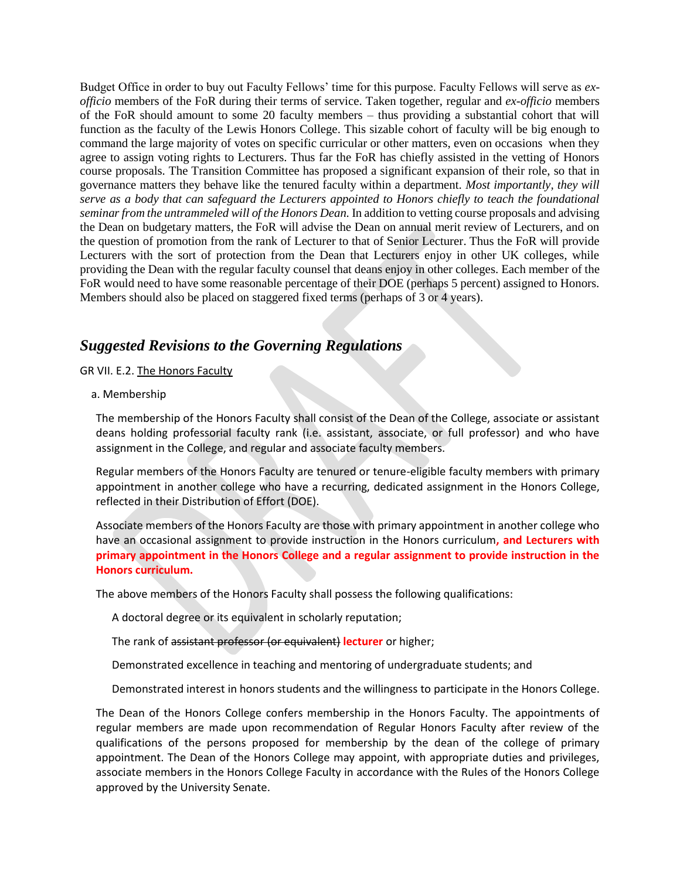Budget Office in order to buy out Faculty Fellows' time for this purpose. Faculty Fellows will serve as *exofficio* members of the FoR during their terms of service. Taken together, regular and *ex-officio* members of the FoR should amount to some 20 faculty members – thus providing a substantial cohort that will function as the faculty of the Lewis Honors College. This sizable cohort of faculty will be big enough to command the large majority of votes on specific curricular or other matters, even on occasions when they agree to assign voting rights to Lecturers. Thus far the FoR has chiefly assisted in the vetting of Honors course proposals. The Transition Committee has proposed a significant expansion of their role, so that in governance matters they behave like the tenured faculty within a department. *Most importantly, they will serve as a body that can safeguard the Lecturers appointed to Honors chiefly to teach the foundational seminar from the untrammeled will of the Honors Dean.* In addition to vetting course proposals and advising the Dean on budgetary matters, the FoR will advise the Dean on annual merit review of Lecturers, and on the question of promotion from the rank of Lecturer to that of Senior Lecturer. Thus the FoR will provide Lecturers with the sort of protection from the Dean that Lecturers enjoy in other UK colleges, while providing the Dean with the regular faculty counsel that deans enjoy in other colleges. Each member of the FoR would need to have some reasonable percentage of their DOE (perhaps 5 percent) assigned to Honors. Members should also be placed on staggered fixed terms (perhaps of 3 or 4 years).

# *Suggested Revisions to the Governing Regulations*

GR VII. E.2. The Honors Faculty

## a. Membership

The membership of the Honors Faculty shall consist of the Dean of the College, associate or assistant deans holding professorial faculty rank (i.e. assistant, associate, or full professor) and who have assignment in the College, and regular and associate faculty members.

Regular members of the Honors Faculty are tenured or tenure-eligible faculty members with primary appointment in another college who have a recurring, dedicated assignment in the Honors College, reflected in their Distribution of Effort (DOE).

Associate members of the Honors Faculty are those with primary appointment in another college who have an occasional assignment to provide instruction in the Honors curriculum**, and Lecturers with primary appointment in the Honors College and a regular assignment to provide instruction in the Honors curriculum.**

The above members of the Honors Faculty shall possess the following qualifications:

A doctoral degree or its equivalent in scholarly reputation;

The rank of assistant professor (or equivalent) **lecturer** or higher;

Demonstrated excellence in teaching and mentoring of undergraduate students; and

Demonstrated interest in honors students and the willingness to participate in the Honors College.

The Dean of the Honors College confers membership in the Honors Faculty. The appointments of regular members are made upon recommendation of Regular Honors Faculty after review of the qualifications of the persons proposed for membership by the dean of the college of primary appointment. The Dean of the Honors College may appoint, with appropriate duties and privileges, associate members in the Honors College Faculty in accordance with the Rules of the Honors College approved by the University Senate.